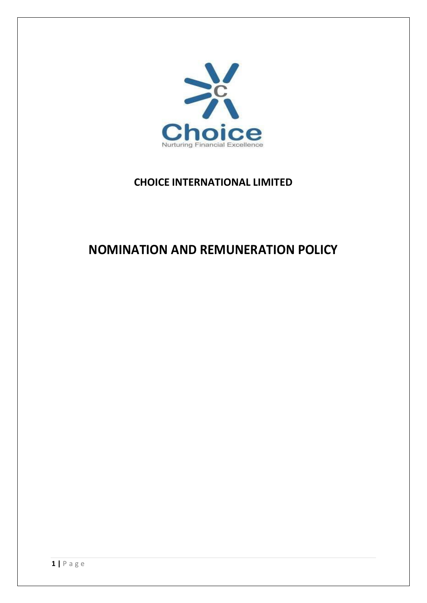

# **CHOICE INTERNATIONAL LIMITED**

# **NOMINATION AND REMUNERATION POLICY**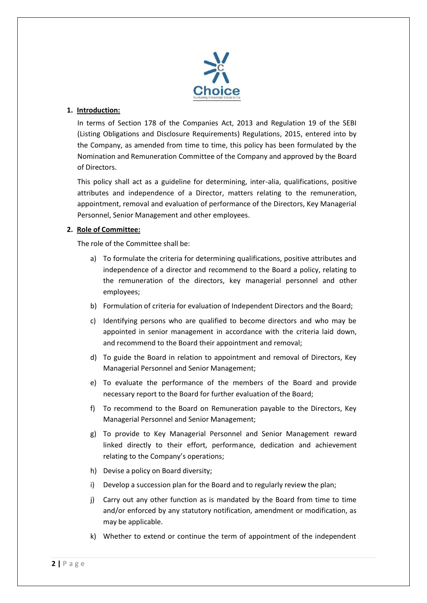

# **1. Introduction:**

In terms of Section 178 of the Companies Act, 2013 and Regulation 19 of the SEBI (Listing Obligations and Disclosure Requirements) Regulations, 2015, entered into by the Company, as amended from time to time, this policy has been formulated by the Nomination and Remuneration Committee of the Company and approved by the Board of Directors.

This policy shall act as a guideline for determining, inter-alia, qualifications, positive attributes and independence of a Director, matters relating to the remuneration, appointment, removal and evaluation of performance of the Directors, Key Managerial Personnel, Senior Management and other employees.

# **2. Role of Committee:**

The role of the Committee shall be:

- a) To formulate the criteria for determining qualifications, positive attributes and independence of a director and recommend to the Board a policy, relating to the remuneration of the directors, key managerial personnel and other employees;
- b) Formulation of criteria for evaluation of Independent Directors and the Board;
- c) Identifying persons who are qualified to become directors and who may be appointed in senior management in accordance with the criteria laid down, and recommend to the Board their appointment and removal;
- d) To guide the Board in relation to appointment and removal of Directors, Key Managerial Personnel and Senior Management;
- e) To evaluate the performance of the members of the Board and provide necessary report to the Board for further evaluation of the Board;
- f) To recommend to the Board on Remuneration payable to the Directors, Key Managerial Personnel and Senior Management;
- g) To provide to Key Managerial Personnel and Senior Management reward linked directly to their effort, performance, dedication and achievement relating to the Company's operations;
- h) Devise a policy on Board diversity;
- i) Develop a succession plan for the Board and to regularly review the plan;
- j) Carry out any other function as is mandated by the Board from time to time and/or enforced by any statutory notification, amendment or modification, as may be applicable.
- k) Whether to extend or continue the term of appointment of the independent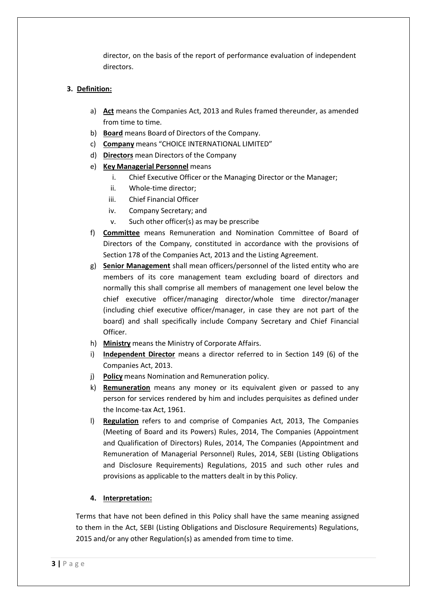director, on the basis of the report of performance evaluation of independent directors.

# **3. Definition:**

- a) **Act** means the Companies Act, 2013 and Rules framed thereunder, as amended from time to time.
- b) **Board** means Board of Directors of the Company.
- c) **Company** means "CHOICE INTERNATIONAL LIMITED"
- d) **Directors** mean Directors of the Company
- e) **Key Managerial Personnel** means
	- i. Chief Executive Officer or the Managing Director or the Manager;
	- ii. Whole-time director;
	- iii. Chief Financial Officer
	- iv. Company Secretary; and
	- v. Such other officer(s) as may be prescribe
- f) **Committee** means Remuneration and Nomination Committee of Board of Directors of the Company, constituted in accordance with the provisions of Section 178 of the Companies Act, 2013 and the Listing Agreement.
- g) **Senior Management** shall mean officers/personnel of the listed entity who are members of its core management team excluding board of directors and normally this shall comprise all members of management one level below the chief executive officer/managing director/whole time director/manager (including chief executive officer/manager, in case they are not part of the board) and shall specifically include Company Secretary and Chief Financial Officer.
- h) **Ministry** means the Ministry of Corporate Affairs.
- i) **Independent Director** means a director referred to in Section 149 (6) of the Companies Act, 2013.
- j) **Policy** means Nomination and Remuneration policy.
- k) **Remuneration** means any money or its equivalent given or passed to any person for services rendered by him and includes perquisites as defined under the Income-tax Act, 1961.
- l) **Regulation** refers to and comprise of Companies Act, 2013, The Companies (Meeting of Board and its Powers) Rules, 2014, The Companies (Appointment and Qualification of Directors) Rules, 2014, The Companies (Appointment and Remuneration of Managerial Personnel) Rules, 2014, SEBI (Listing Obligations and Disclosure Requirements) Regulations, 2015 and such other rules and provisions as applicable to the matters dealt in by this Policy.

# **4. Interpretation:**

Terms that have not been defined in this Policy shall have the same meaning assigned to them in the Act, SEBI (Listing Obligations and Disclosure Requirements) Regulations, 2015 and/or any other Regulation(s) as amended from time to time.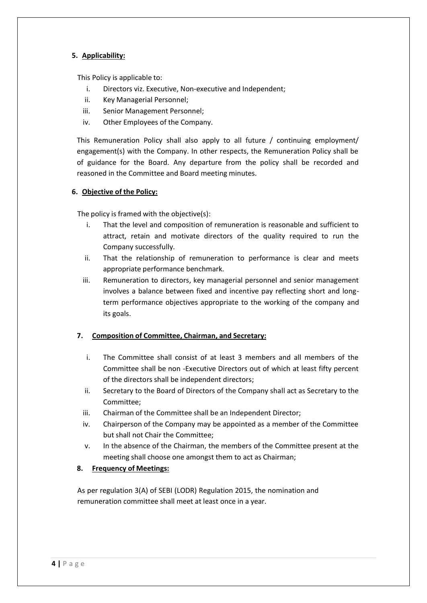# **5. Applicability:**

This Policy is applicable to:

- i. Directors viz. Executive, Non-executive and Independent;
- ii. Key Managerial Personnel;
- iii. Senior Management Personnel;
- iv. Other Employees of the Company.

This Remuneration Policy shall also apply to all future / continuing employment/ engagement(s) with the Company. In other respects, the Remuneration Policy shall be of guidance for the Board. Any departure from the policy shall be recorded and reasoned in the Committee and Board meeting minutes.

# **6. Objective of the Policy:**

The policy is framed with the objective(s):

- i. That the level and composition of remuneration is reasonable and sufficient to attract, retain and motivate directors of the quality required to run the Company successfully.
- ii. That the relationship of remuneration to performance is clear and meets appropriate performance benchmark.
- iii. Remuneration to directors, key managerial personnel and senior management involves a balance between fixed and incentive pay reflecting short and longterm performance objectives appropriate to the working of the company and its goals.

# **7. Composition of Committee, Chairman, and Secretary:**

- i. The Committee shall consist of at least 3 members and all members of the Committee shall be non -Executive Directors out of which at least fifty percent of the directors shall be independent directors;
- ii. Secretary to the Board of Directors of the Company shall act as Secretary to the Committee;
- iii. Chairman of the Committee shall be an Independent Director;
- iv. Chairperson of the Company may be appointed as a member of the Committee but shall not Chair the Committee;
- v. In the absence of the Chairman, the members of the Committee present at the meeting shall choose one amongst them to act as Chairman;

# **8. Frequency of Meetings:**

As per regulation 3(A) of SEBI (LODR) Regulation 2015, the nomination and remuneration committee shall meet at least once in a year.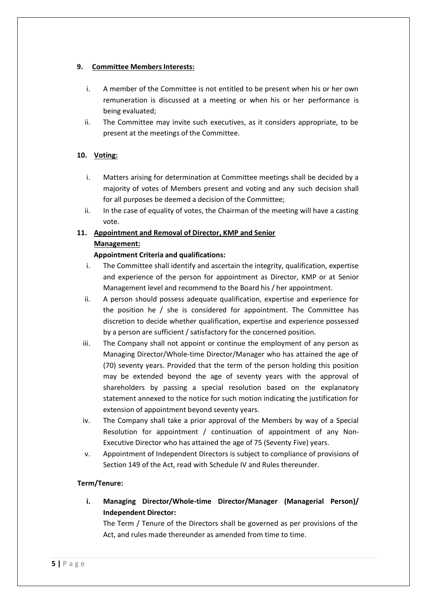# **9. Committee Members Interests:**

- i. A member of the Committee is not entitled to be present when his or her own remuneration is discussed at a meeting or when his or her performance is being evaluated;
- ii. The Committee may invite such executives, as it considers appropriate, to be present at the meetings of the Committee.

# **10. Voting:**

- i. Matters arising for determination at Committee meetings shall be decided by a majority of votes of Members present and voting and any such decision shall for all purposes be deemed a decision of the Committee;
- ii. In the case of equality of votes, the Chairman of the meeting will have a casting vote.

# **11. Appointment and Removal of Director, KMP and Senior Management:**

# **Appointment Criteria and qualifications:**

- i. The Committee shall identify and ascertain the integrity, qualification, expertise and experience of the person for appointment as Director, KMP or at Senior Management level and recommend to the Board his / her appointment.
- ii. A person should possess adequate qualification, expertise and experience for the position he / she is considered for appointment. The Committee has discretion to decide whether qualification, expertise and experience possessed by a person are sufficient / satisfactory for the concerned position.
- iii. The Company shall not appoint or continue the employment of any person as Managing Director/Whole-time Director/Manager who has attained the age of (70) seventy years. Provided that the term of the person holding this position may be extended beyond the age of seventy years with the approval of shareholders by passing a special resolution based on the explanatory statement annexed to the notice for such motion indicating the justification for extension of appointment beyond seventy years.
- iv. The Company shall take a prior approval of the Members by way of a Special Resolution for appointment / continuation of appointment of any Non-Executive Director who has attained the age of 75 (Seventy Five) years.
- v. Appointment of Independent Directors is subject to compliance of provisions of Section 149 of the Act, read with Schedule IV and Rules thereunder.

# **Term/Tenure:**

**i. Managing Director/Whole-time Director/Manager (Managerial Person)/ Independent Director:**

The Term / Tenure of the Directors shall be governed as per provisions of the Act, and rules made thereunder as amended from time to time.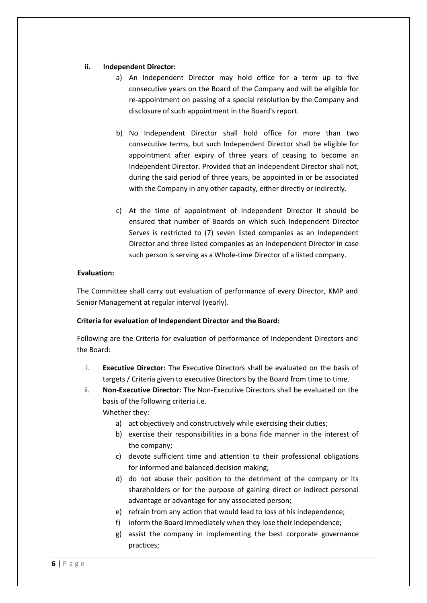#### **ii. Independent Director:**

- a) An Independent Director may hold office for a term up to five consecutive years on the Board of the Company and will be eligible for re-appointment on passing of a special resolution by the Company and disclosure of such appointment in the Board's report.
- b) No Independent Director shall hold office for more than two consecutive terms, but such Independent Director shall be eligible for appointment after expiry of three years of ceasing to become an Independent Director. Provided that an Independent Director shall not, during the said period of three years, be appointed in or be associated with the Company in any other capacity, either directly or indirectly.
- c) At the time of appointment of Independent Director it should be ensured that number of Boards on which such Independent Director Serves is restricted to (7) seven listed companies as an Independent Director and three listed companies as an Independent Director in case such person is serving as a Whole-time Director of a listed company.

#### **Evaluation:**

The Committee shall carry out evaluation of performance of every Director, KMP and Senior Management at regular interval (yearly).

# **Criteria for evaluation of Independent Director and the Board:**

Following are the Criteria for evaluation of performance of Independent Directors and the Board:

- i. **Executive Director:** The Executive Directors shall be evaluated on the basis of targets / Criteria given to executive Directors by the Board from time to time.
- ii. **Non-Executive Director:** The Non-Executive Directors shall be evaluated on the basis of the following criteria i.e.

Whether they:

- a) act objectively and constructively while exercising their duties;
- b) exercise their responsibilities in a bona fide manner in the interest of the company;
- c) devote sufficient time and attention to their professional obligations for informed and balanced decision making;
- d) do not abuse their position to the detriment of the company or its shareholders or for the purpose of gaining direct or indirect personal advantage or advantage for any associated person;
- e) refrain from any action that would lead to loss of his independence;
- f) inform the Board immediately when they lose their independence;
- g) assist the company in implementing the best corporate governance practices;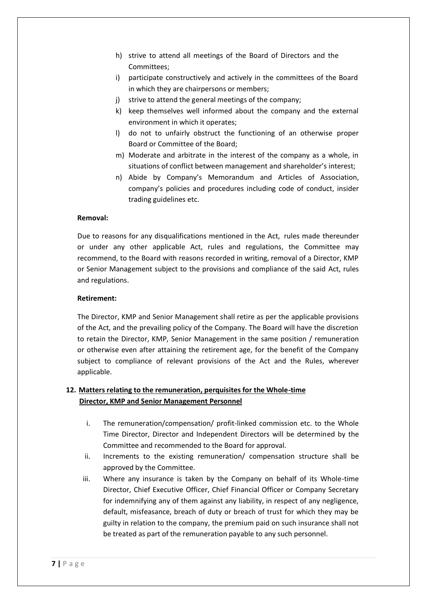- h) strive to attend all meetings of the Board of Directors and the Committees;
- i) participate constructively and actively in the committees of the Board in which they are chairpersons or members;
- j) strive to attend the general meetings of the company;
- k) keep themselves well informed about the company and the external environment in which it operates;
- l) do not to unfairly obstruct the functioning of an otherwise proper Board or Committee of the Board;
- m) Moderate and arbitrate in the interest of the company as a whole, in situations of conflict between management and shareholder's interest;
- n) Abide by Company's Memorandum and Articles of Association, company's policies and procedures including code of conduct, insider trading guidelines etc.

#### **Removal:**

Due to reasons for any disqualifications mentioned in the Act, rules made thereunder or under any other applicable Act, rules and regulations, the Committee may recommend, to the Board with reasons recorded in writing, removal of a Director, KMP or Senior Management subject to the provisions and compliance of the said Act, rules and regulations.

#### **Retirement:**

The Director, KMP and Senior Management shall retire as per the applicable provisions of the Act, and the prevailing policy of the Company. The Board will have the discretion to retain the Director, KMP, Senior Management in the same position / remuneration or otherwise even after attaining the retirement age, for the benefit of the Company subject to compliance of relevant provisions of the Act and the Rules, wherever applicable.

# **12. Matters relating to the remuneration, perquisites for the Whole-time Director, KMP and Senior Management Personnel**

- i. The remuneration/compensation/ profit-linked commission etc. to the Whole Time Director, Director and Independent Directors will be determined by the Committee and recommended to the Board for approval.
- ii. Increments to the existing remuneration/ compensation structure shall be approved by the Committee.
- iii. Where any insurance is taken by the Company on behalf of its Whole-time Director, Chief Executive Officer, Chief Financial Officer or Company Secretary for indemnifying any of them against any liability, in respect of any negligence, default, misfeasance, breach of duty or breach of trust for which they may be guilty in relation to the company, the premium paid on such insurance shall not be treated as part of the remuneration payable to any such personnel.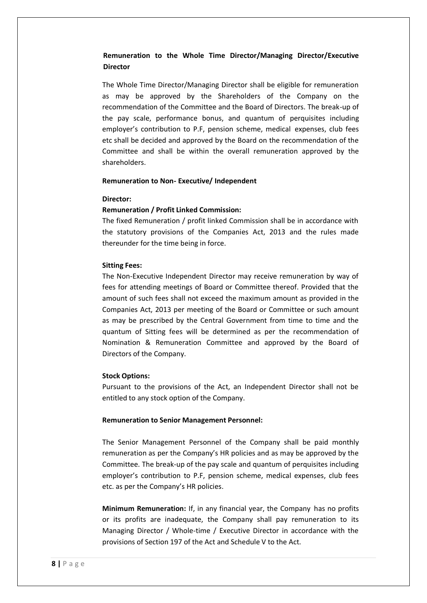# **Remuneration to the Whole Time Director/Managing Director/Executive Director**

The Whole Time Director/Managing Director shall be eligible for remuneration as may be approved by the Shareholders of the Company on the recommendation of the Committee and the Board of Directors. The break-up of the pay scale, performance bonus, and quantum of perquisites including employer's contribution to P.F, pension scheme, medical expenses, club fees etc shall be decided and approved by the Board on the recommendation of the Committee and shall be within the overall remuneration approved by the shareholders.

#### **Remuneration to Non- Executive/ Independent**

#### **Director:**

#### **Remuneration / Profit Linked Commission:**

The fixed Remuneration / profit linked Commission shall be in accordance with the statutory provisions of the Companies Act, 2013 and the rules made thereunder for the time being in force.

#### **Sitting Fees:**

The Non-Executive Independent Director may receive remuneration by way of fees for attending meetings of Board or Committee thereof. Provided that the amount of such fees shall not exceed the maximum amount as provided in the Companies Act, 2013 per meeting of the Board or Committee or such amount as may be prescribed by the Central Government from time to time and the quantum of Sitting fees will be determined as per the recommendation of Nomination & Remuneration Committee and approved by the Board of Directors of the Company.

#### **Stock Options:**

Pursuant to the provisions of the Act, an Independent Director shall not be entitled to any stock option of the Company.

#### **Remuneration to Senior Management Personnel:**

The Senior Management Personnel of the Company shall be paid monthly remuneration as per the Company's HR policies and as may be approved by the Committee. The break-up of the pay scale and quantum of perquisites including employer's contribution to P.F, pension scheme, medical expenses, club fees etc. as per the Company's HR policies.

**Minimum Remuneration:** If, in any financial year, the Company has no profits or its profits are inadequate, the Company shall pay remuneration to its Managing Director / Whole-time / Executive Director in accordance with the provisions of Section 197 of the Act and Schedule V to the Act.